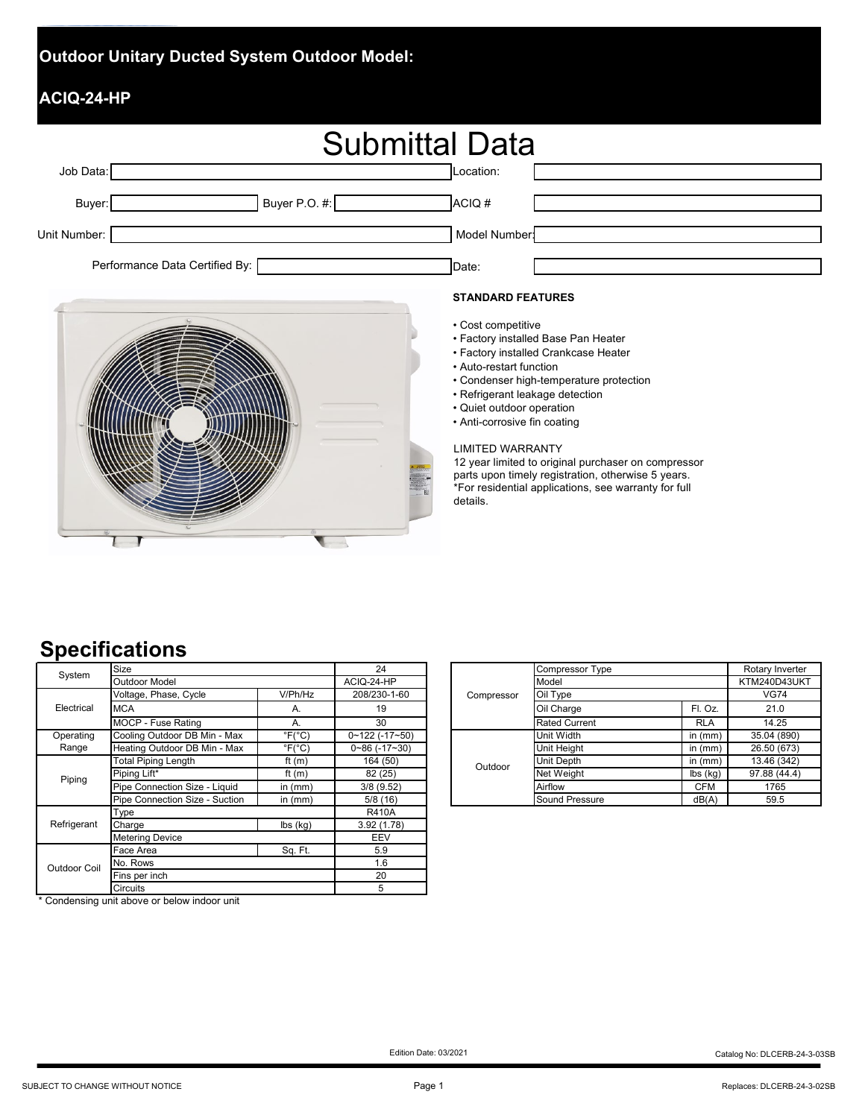## **Outdoor Unitary Ducted System Outdoor Model:**

## **ACIQ-24-HP**

| <b>Submittal Data</b> |                                |               |              |  |  |
|-----------------------|--------------------------------|---------------|--------------|--|--|
| Job Data:             |                                |               | Location:    |  |  |
| Buyer:                |                                | Buyer P.O. #: | ACIQ#        |  |  |
| Unit Number:          |                                |               | Model Number |  |  |
|                       | Performance Data Certified By: |               | Date:        |  |  |



#### **STANDARD FEATURES**

- Cost competitive
- Factory installed Base Pan Heater
- Factory installed Crankcase Heater
- Auto-restart function
- Condenser high-temperature protection
- Refrigerant leakage detection
- Quiet outdoor operation
- Anti-corrosive fin coating

#### LIMITED WARRANTY

12 year limited to original purchaser on compressor parts upon timely registration, otherwise 5 years. \*For residential applications, see warranty for full details.

# **Specifications**

| System       | Size                                                      | 24                          |                           |  |
|--------------|-----------------------------------------------------------|-----------------------------|---------------------------|--|
|              | <b>Outdoor Model</b>                                      | ACIQ-24-HP                  |                           |  |
|              | Voltage, Phase, Cycle                                     | V/Ph/Hz                     | 208/230-1-60              |  |
| Electrical   | <b>MCA</b>                                                | А.                          | 19                        |  |
|              | MOCP - Fuse Rating                                        | А.                          | 30                        |  |
| Operating    | Cooling Outdoor DB Min - Max<br>$\degree$ F( $\degree$ C) |                             | $0 \sim 122$ (-17~50)     |  |
| Range        | Heating Outdoor DB Min - Max                              | $\degree$ F( $\degree$ C)   | $0\nu 86$ (-17 $\nu$ -30) |  |
| Piping       | <b>Total Piping Length</b>                                | ft $(m)$                    | 164 (50)                  |  |
|              | Piping Lift*                                              | ft $(m)$                    | 82 (25)                   |  |
|              | Pipe Connection Size - Liquid                             | in $(mm)$                   | 3/8(9.52)                 |  |
|              | Pipe Connection Size - Suction                            | in $(mm)$                   | 5/8(16)                   |  |
|              | Type                                                      | <b>R410A</b>                |                           |  |
| Refrigerant  | Charge                                                    | $\mathsf{lbs}(\mathsf{kq})$ | 3.92(1.78)                |  |
|              | <b>Metering Device</b>                                    | EEV                         |                           |  |
|              | Face Area                                                 | Sq. Ft.                     | 5.9                       |  |
| Outdoor Coil | No. Rows                                                  | 1.6                         |                           |  |
|              | Fins per inch                                             | 20                          |                           |  |
|              | Circuits                                                  | 5                           |                           |  |

| Size                             |                           | 24                       |  | Compressor | Compressor Type      |                             | Rotary Inverter |
|----------------------------------|---------------------------|--------------------------|--|------------|----------------------|-----------------------------|-----------------|
| Outdoor Model                    |                           | ACIQ-24-HP               |  |            | Model                |                             | KTM240D43UKT    |
| Voltage, Phase, Cycle<br>V/Ph/Hz |                           | 208/230-1-60             |  |            | Oil Type             |                             | <b>VG74</b>     |
| MCA<br>А.                        |                           | 19                       |  | Oil Charge | Fl. Oz.              | 21.0                        |                 |
| MOCP - Fuse Rating               |                           | 30                       |  |            | <b>Rated Current</b> | <b>RLA</b>                  | 14.25           |
| Cooling Outdoor DB Min - Max     | $\degree$ F( $\degree$ C) | $0 - 122$ ( $-17 - 50$ ) |  |            | Unit Width           | in $(mm)$                   | 35.04 (890)     |
| Heating Outdoor DB Min - Max     | $\degree$ F( $\degree$ C) | $0 - 86$ ( $-17 - 30$ )  |  |            | Unit Height          | in (mm)                     | 26.50 (673)     |
| <b>Total Piping Length</b>       | ft $(m)$                  | 164 (50)                 |  | Outdoor    | Unit Depth           | in $(mm)$                   | 13.46 (342)     |
| Piping Lift*                     | ft $(m)$                  | 82 (25)                  |  |            | Net Weight           | $\mathsf{lbs}(\mathsf{kq})$ | 97.88 (44.4)    |
| Pipe Connection Size - Liquid    | in $(mm)$                 | 3/8(9.52)                |  |            | Airflow              | <b>CFM</b>                  | 1765            |
| Pipe Connection Size - Suction   | in $(mm)$                 | 5/8(16)                  |  |            | Sound Pressure       | dB(A)                       | 59.5            |
| <b>T.</b>                        |                           | B440A                    |  |            |                      |                             |                 |

\* Condensing unit above or below indoor unit

Edition Date: 03/2021